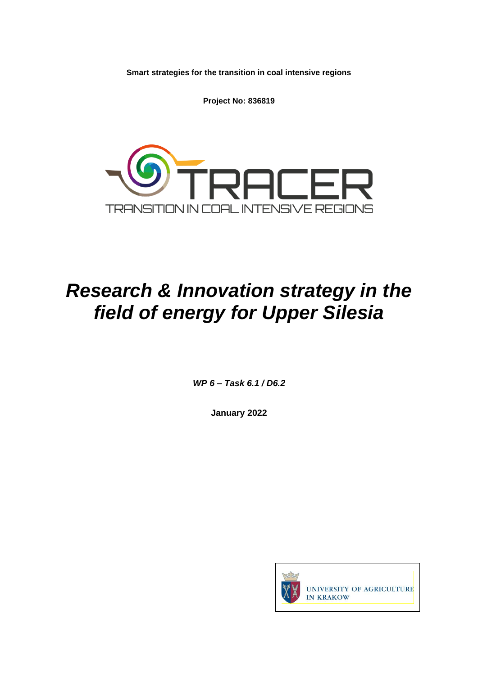**Smart strategies for the transition in coal intensive regions**

**Project No: 836819**



# *Research & Innovation strategy in the field of energy for Upper Silesia*

*WP 6 – Task 6.1 / D6.2*

**January 2022**

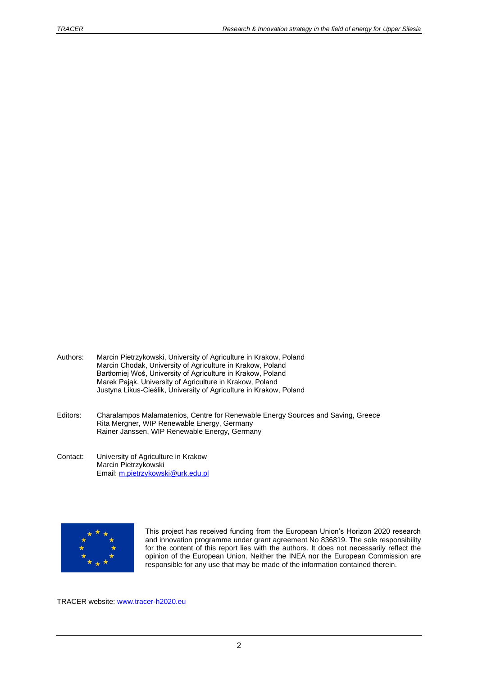- Authors: Marcin Pietrzykowski, University of Agriculture in Krakow, Poland Marcin Chodak, University of Agriculture in Krakow, Poland Bartłomiej Woś, University of Agriculture in Krakow, Poland Marek Pająk, University of Agriculture in Krakow, Poland Justyna Likus-Cieślik, University of Agriculture in Krakow, Poland
- Editors: Charalampos Malamatenios, Centre for Renewable Energy Sources and Saving, Greece Rita Mergner, WIP Renewable Energy, Germany Rainer Janssen, WIP Renewable Energy, Germany
- Contact: University of Agriculture in Krakow Marcin Pietrzykowski Email: [m.pietrzykowski@urk.edu.pl](mailto:m.pietrzykowski@urk.edu.pl)



This project has received funding from the European Union's Horizon 2020 research and innovation programme under grant agreement No 836819. The sole responsibility for the content of this report lies with the authors. It does not necessarily reflect the opinion of the European Union. Neither the INEA nor the European Commission are responsible for any use that may be made of the information contained therein.

TRACER website: [www.tracer-h2020.eu](http://www.tracer-h2020.eu/)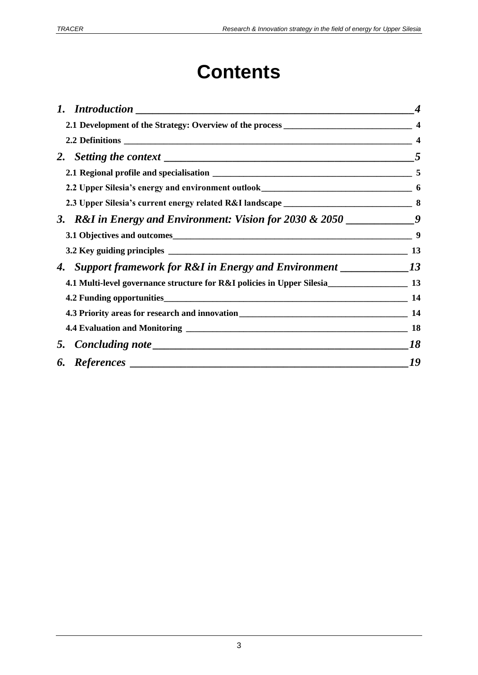# **Contents**

|                                                                                                   | $\overline{\mathbf{4}}$ |
|---------------------------------------------------------------------------------------------------|-------------------------|
|                                                                                                   |                         |
|                                                                                                   | 5                       |
|                                                                                                   |                         |
|                                                                                                   |                         |
| 3. R&I in Energy and Environment: Vision for 2030 & 2050 $\frac{1}{2}$                            |                         |
| 3.1 Objectives and outcomes 9                                                                     |                         |
|                                                                                                   |                         |
| 4. Support framework for R&I in Energy and Environment __________________________13               |                         |
| 4.1 Multi-level governance structure for R&I policies in Upper Silesia________________________ 13 |                         |
|                                                                                                   |                         |
|                                                                                                   |                         |
|                                                                                                   | <b>18</b>               |
|                                                                                                   | 18                      |
|                                                                                                   | 19                      |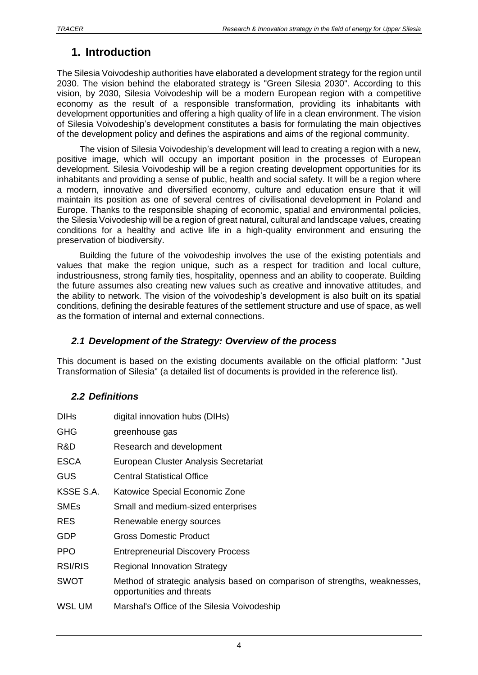## <span id="page-3-0"></span>**1. Introduction**

The Silesia Voivodeship authorities have elaborated a development strategy for the region until 2030. The vision behind the elaborated strategy is "Green Silesia 2030". According to this vision, by 2030, Silesia Voivodeship will be a modern European region with a competitive economy as the result of a responsible transformation, providing its inhabitants with development opportunities and offering a high quality of life in a clean environment. The vision of Silesia Voivodeship's development constitutes a basis for formulating the main objectives of the development policy and defines the aspirations and aims of the regional community.

The vision of Silesia Voivodeship's development will lead to creating a region with a new, positive image, which will occupy an important position in the processes of European development. Silesia Voivodeship will be a region creating development opportunities for its inhabitants and providing a sense of public, health and social safety. It will be a region where a modern, innovative and diversified economy, culture and education ensure that it will maintain its position as one of several centres of civilisational development in Poland and Europe. Thanks to the responsible shaping of economic, spatial and environmental policies, the Silesia Voivodeship will be a region of great natural, cultural and landscape values, creating conditions for a healthy and active life in a high-quality environment and ensuring the preservation of biodiversity.

Building the future of the voivodeship involves the use of the existing potentials and values that make the region unique, such as a respect for tradition and local culture, industriousness, strong family ties, hospitality, openness and an ability to cooperate. Building the future assumes also creating new values such as creative and innovative attitudes, and the ability to network. The vision of the voivodeship's development is also built on its spatial conditions, defining the desirable features of the settlement structure and use of space, as well as the formation of internal and external connections.

#### <span id="page-3-1"></span>*2.1 Development of the Strategy: Overview of the process*

This document is based on the existing documents available on the official platform: "Just Transformation of Silesia" (a detailed list of documents is provided in the reference list).

#### <span id="page-3-2"></span>*2.2 Definitions*

| <b>DIHs</b>    | digital innovation hubs (DIHs)                                                                          |
|----------------|---------------------------------------------------------------------------------------------------------|
| <b>GHG</b>     | greenhouse gas                                                                                          |
| R&D            | Research and development                                                                                |
| <b>ESCA</b>    | European Cluster Analysis Secretariat                                                                   |
| <b>GUS</b>     | <b>Central Statistical Office</b>                                                                       |
| KSSE S.A.      | Katowice Special Economic Zone                                                                          |
| <b>SMEs</b>    | Small and medium-sized enterprises                                                                      |
| <b>RES</b>     | Renewable energy sources                                                                                |
| GDP            | <b>Gross Domestic Product</b>                                                                           |
| <b>PPO</b>     | <b>Entrepreneurial Discovery Process</b>                                                                |
| <b>RSI/RIS</b> | <b>Regional Innovation Strategy</b>                                                                     |
| <b>SWOT</b>    | Method of strategic analysis based on comparison of strengths, weaknesses,<br>opportunities and threats |
| WSL UM         | Marshal's Office of the Silesia Voivodeship                                                             |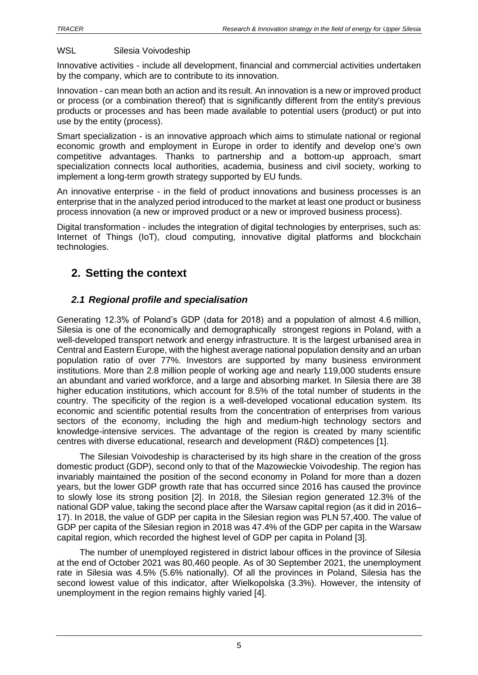#### WSL Silesia Voivodeship

Innovative activities - include all development, financial and commercial activities undertaken by the company, which are to contribute to its innovation.

Innovation - can mean both an action and its result. An innovation is a new or improved product or process (or a combination thereof) that is significantly different from the entity's previous products or processes and has been made available to potential users (product) or put into use by the entity (process).

Smart specialization - is an innovative approach which aims to stimulate national or regional economic growth and employment in Europe in order to identify and develop one's own competitive advantages. Thanks to partnership and a bottom-up approach, smart specialization connects local authorities, academia, business and civil society, working to implement a long-term growth strategy supported by EU funds.

An innovative enterprise - in the field of product innovations and business processes is an enterprise that in the analyzed period introduced to the market at least one product or business process innovation (a new or improved product or a new or improved business process).

Digital transformation - includes the integration of digital technologies by enterprises, such as: Internet of Things (IoT), cloud computing, innovative digital platforms and blockchain technologies.

## <span id="page-4-0"></span>**2. Setting the context**

#### <span id="page-4-1"></span>*2.1 Regional profile and specialisation*

Generating 12.3% of Poland's GDP (data for 2018) and a population of almost 4.6 million, Silesia is one of the economically and demographically strongest regions in Poland, with a well-developed transport network and energy infrastructure. It is the largest urbanised area in Central and Eastern Europe, with the highest average national population density and an urban population ratio of over 77%. Investors are supported by many business environment institutions. More than 2.8 million people of working age and nearly 119,000 students ensure an abundant and varied workforce, and a large and absorbing market. In Silesia there are 38 higher education institutions, which account for 8.5% of the total number of students in the country. The specificity of the region is a well-developed vocational education system. Its economic and scientific potential results from the concentration of enterprises from various sectors of the economy, including the high and medium-high technology sectors and knowledge-intensive services. The advantage of the region is created by many scientific centres with diverse educational, research and development (R&D) competences [1].

The Silesian Voivodeship is characterised by its high share in the creation of the gross domestic product (GDP), second only to that of the Mazowieckie Voivodeship. The region has invariably maintained the position of the second economy in Poland for more than a dozen years, but the lower GDP growth rate that has occurred since 2016 has caused the province to slowly lose its strong position [2]. In 2018, the Silesian region generated 12.3% of the national GDP value, taking the second place after the Warsaw capital region (as it did in 2016– 17). In 2018, the value of GDP per capita in the Silesian region was PLN 57,400. The value of GDP per capita of the Silesian region in 2018 was 47.4% of the GDP per capita in the Warsaw capital region, which recorded the highest level of GDP per capita in Poland [3].

The number of unemployed registered in district labour offices in the province of Silesia at the end of October 2021 was 80,460 people. As of 30 September 2021, the unemployment rate in Silesia was 4.5% (5.6% nationally). Of all the provinces in Poland, Silesia has the second lowest value of this indicator, after Wielkopolska (3.3%). However, the intensity of unemployment in the region remains highly varied [4].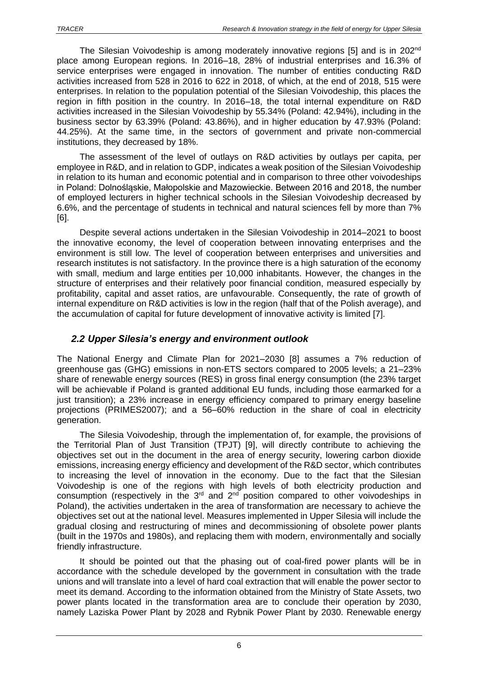The Silesian Voivodeship is among moderately innovative regions [5] and is in 202<sup>nd</sup> place among European regions. In 2016–18, 28% of industrial enterprises and 16.3% of service enterprises were engaged in innovation. The number of entities conducting R&D activities increased from 528 in 2016 to 622 in 2018, of which, at the end of 2018, 515 were enterprises. In relation to the population potential of the Silesian Voivodeship, this places the region in fifth position in the country. In 2016–18, the total internal expenditure on R&D activities increased in the Silesian Voivodeship by 55.34% (Poland: 42.94%), including in the business sector by 63.39% (Poland: 43.86%), and in higher education by 47.93% (Poland: 44.25%). At the same time, in the sectors of government and private non-commercial institutions, they decreased by 18%.

The assessment of the level of outlays on R&D activities by outlays per capita, per employee in R&D, and in relation to GDP, indicates a weak position of the Silesian Voivodeship in relation to its human and economic potential and in comparison to three other voivodeships in Poland: Dolnośląskie, Małopolskie and Mazowieckie. Between 2016 and 2018, the number of employed lecturers in higher technical schools in the Silesian Voivodeship decreased by 6.6%, and the percentage of students in technical and natural sciences fell by more than 7% [6].

Despite several actions undertaken in the Silesian Voivodeship in 2014–2021 to boost the innovative economy, the level of cooperation between innovating enterprises and the environment is still low. The level of cooperation between enterprises and universities and research institutes is not satisfactory. In the province there is a high saturation of the economy with small, medium and large entities per 10,000 inhabitants. However, the changes in the structure of enterprises and their relatively poor financial condition, measured especially by profitability, capital and asset ratios, are unfavourable. Consequently, the rate of growth of internal expenditure on R&D activities is low in the region (half that of the Polish average), and the accumulation of capital for future development of innovative activity is limited [7].

#### <span id="page-5-0"></span>*2.2 Upper Silesia's energy and environment outlook*

The National Energy and Climate Plan for 2021–2030 [8] assumes a 7% reduction of greenhouse gas (GHG) emissions in non-ETS sectors compared to 2005 levels; a 21–23% share of renewable energy sources (RES) in gross final energy consumption (the 23% target will be achievable if Poland is granted additional EU funds, including those earmarked for a just transition); a 23% increase in energy efficiency compared to primary energy baseline projections (PRIMES2007); and a 56–60% reduction in the share of coal in electricity generation.

The Silesia Voivodeship, through the implementation of, for example, the provisions of the Territorial Plan of Just Transition (TPJT) [9], will directly contribute to achieving the objectives set out in the document in the area of energy security, lowering carbon dioxide emissions, increasing energy efficiency and development of the R&D sector, which contributes to increasing the level of innovation in the economy. Due to the fact that the Silesian Voivodeship is one of the regions with high levels of both electricity production and consumption (respectively in the  $3<sup>rd</sup>$  and  $2<sup>nd</sup>$  position compared to other voivodeships in Poland), the activities undertaken in the area of transformation are necessary to achieve the objectives set out at the national level. Measures implemented in Upper Silesia will include the gradual closing and restructuring of mines and decommissioning of obsolete power plants (built in the 1970s and 1980s), and replacing them with modern, environmentally and socially friendly infrastructure.

It should be pointed out that the phasing out of coal-fired power plants will be in accordance with the schedule developed by the government in consultation with the trade unions and will translate into a level of hard coal extraction that will enable the power sector to meet its demand. According to the information obtained from the Ministry of State Assets, two power plants located in the transformation area are to conclude their operation by 2030, namely Laziska Power Plant by 2028 and Rybnik Power Plant by 2030. Renewable energy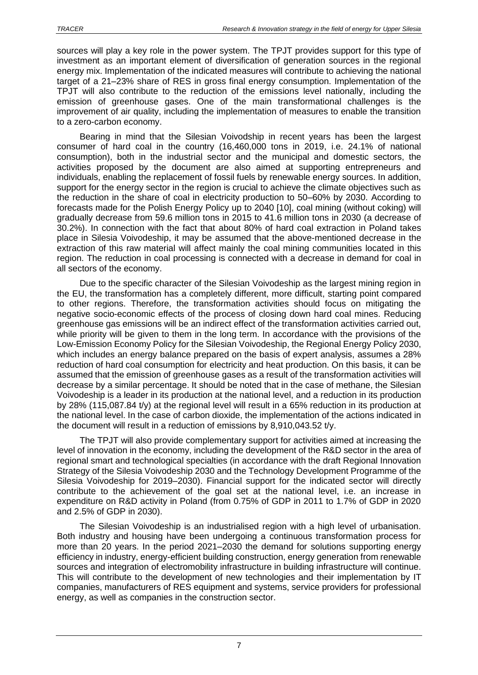sources will play a key role in the power system. The TPJT provides support for this type of investment as an important element of diversification of generation sources in the regional energy mix. Implementation of the indicated measures will contribute to achieving the national target of a 21–23% share of RES in gross final energy consumption. Implementation of the TPJT will also contribute to the reduction of the emissions level nationally, including the emission of greenhouse gases. One of the main transformational challenges is the improvement of air quality, including the implementation of measures to enable the transition to a zero-carbon economy.

Bearing in mind that the Silesian Voivodship in recent years has been the largest consumer of hard coal in the country (16,460,000 tons in 2019, i.e. 24.1% of national consumption), both in the industrial sector and the municipal and domestic sectors, the activities proposed by the document are also aimed at supporting entrepreneurs and individuals, enabling the replacement of fossil fuels by renewable energy sources. In addition, support for the energy sector in the region is crucial to achieve the climate objectives such as the reduction in the share of coal in electricity production to 50–60% by 2030. According to forecasts made for the Polish Energy Policy up to 2040 [10], coal mining (without coking) will gradually decrease from 59.6 million tons in 2015 to 41.6 million tons in 2030 (a decrease of 30.2%). In connection with the fact that about 80% of hard coal extraction in Poland takes place in Silesia Voivodeship, it may be assumed that the above-mentioned decrease in the extraction of this raw material will affect mainly the coal mining communities located in this region. The reduction in coal processing is connected with a decrease in demand for coal in all sectors of the economy.

Due to the specific character of the Silesian Voivodeship as the largest mining region in the EU, the transformation has a completely different, more difficult, starting point compared to other regions. Therefore, the transformation activities should focus on mitigating the negative socio-economic effects of the process of closing down hard coal mines. Reducing greenhouse gas emissions will be an indirect effect of the transformation activities carried out, while priority will be given to them in the long term. In accordance with the provisions of the Low-Emission Economy Policy for the Silesian Voivodeship, the Regional Energy Policy 2030, which includes an energy balance prepared on the basis of expert analysis, assumes a 28% reduction of hard coal consumption for electricity and heat production. On this basis, it can be assumed that the emission of greenhouse gases as a result of the transformation activities will decrease by a similar percentage. It should be noted that in the case of methane, the Silesian Voivodeship is a leader in its production at the national level, and a reduction in its production by 28% (115,087.84 t/y) at the regional level will result in a 65% reduction in its production at the national level. In the case of carbon dioxide, the implementation of the actions indicated in the document will result in a reduction of emissions by 8,910,043.52 t/y.

The TPJT will also provide complementary support for activities aimed at increasing the level of innovation in the economy, including the development of the R&D sector in the area of regional smart and technological specialties (in accordance with the draft Regional Innovation Strategy of the Silesia Voivodeship 2030 and the Technology Development Programme of the Silesia Voivodeship for 2019–2030). Financial support for the indicated sector will directly contribute to the achievement of the goal set at the national level, i.e. an increase in expenditure on R&D activity in Poland (from 0.75% of GDP in 2011 to 1.7% of GDP in 2020 and 2.5% of GDP in 2030).

The Silesian Voivodeship is an industrialised region with a high level of urbanisation. Both industry and housing have been undergoing a continuous transformation process for more than 20 years. In the period 2021–2030 the demand for solutions supporting energy efficiency in industry, energy-efficient building construction, energy generation from renewable sources and integration of electromobility infrastructure in building infrastructure will continue. This will contribute to the development of new technologies and their implementation by IT companies, manufacturers of RES equipment and systems, service providers for professional energy, as well as companies in the construction sector.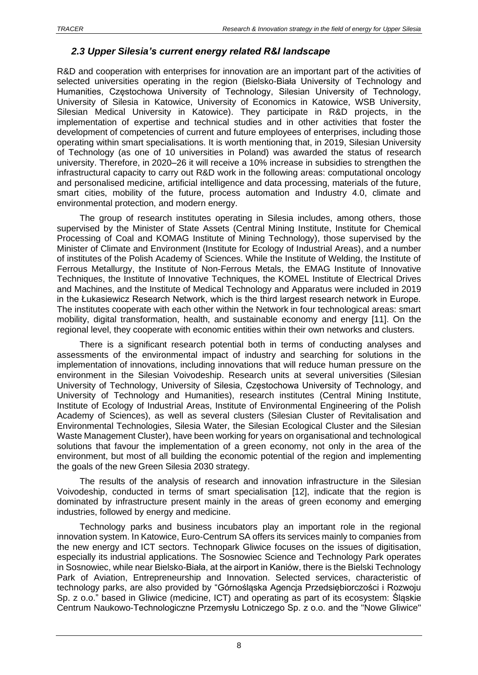#### <span id="page-7-0"></span>*2.3 Upper Silesia's current energy related R&I landscape*

R&D and cooperation with enterprises for innovation are an important part of the activities of selected universities operating in the region (Bielsko-Biała University of Technology and Humanities, Częstochowa University of Technology, Silesian University of Technology, University of Silesia in Katowice, University of Economics in Katowice, WSB University, Silesian Medical University in Katowice). They participate in R&D projects, in the implementation of expertise and technical studies and in other activities that foster the development of competencies of current and future employees of enterprises, including those operating within smart specialisations. It is worth mentioning that, in 2019, Silesian University of Technology (as one of 10 universities in Poland) was awarded the status of research university. Therefore, in 2020–26 it will receive a 10% increase in subsidies to strengthen the infrastructural capacity to carry out R&D work in the following areas: computational oncology and personalised medicine, artificial intelligence and data processing, materials of the future, smart cities, mobility of the future, process automation and Industry 4.0, climate and environmental protection, and modern energy.

The group of research institutes operating in Silesia includes, among others, those supervised by the Minister of State Assets (Central Mining Institute, Institute for Chemical Processing of Coal and KOMAG Institute of Mining Technology), those supervised by the Minister of Climate and Environment (Institute for Ecology of Industrial Areas), and a number of institutes of the Polish Academy of Sciences. While the Institute of Welding, the Institute of Ferrous Metallurgy, the Institute of Non-Ferrous Metals, the EMAG Institute of Innovative Techniques, the Institute of Innovative Techniques, the KOMEL Institute of Electrical Drives and Machines, and the Institute of Medical Technology and Apparatus were included in 2019 in the Łukasiewicz Research Network, which is the third largest research network in Europe. The institutes cooperate with each other within the Network in four technological areas: smart mobility, digital transformation, health, and sustainable economy and energy [11]. On the regional level, they cooperate with economic entities within their own networks and clusters.

There is a significant research potential both in terms of conducting analyses and assessments of the environmental impact of industry and searching for solutions in the implementation of innovations, including innovations that will reduce human pressure on the environment in the Silesian Voivodeship. Research units at several universities (Silesian University of Technology, University of Silesia, Częstochowa University of Technology, and University of Technology and Humanities), research institutes (Central Mining Institute, Institute of Ecology of Industrial Areas, Institute of Environmental Engineering of the Polish Academy of Sciences), as well as several clusters (Silesian Cluster of Revitalisation and Environmental Technologies, Silesia Water, the Silesian Ecological Cluster and the Silesian Waste Management Cluster), have been working for years on organisational and technological solutions that favour the implementation of a green economy, not only in the area of the environment, but most of all building the economic potential of the region and implementing the goals of the new Green Silesia 2030 strategy.

The results of the analysis of research and innovation infrastructure in the Silesian Voivodeship, conducted in terms of smart specialisation [12], indicate that the region is dominated by infrastructure present mainly in the areas of green economy and emerging industries, followed by energy and medicine.

Technology parks and business incubators play an important role in the regional innovation system. In Katowice, Euro-Centrum SA offers its services mainly to companies from the new energy and ICT sectors. Technopark Gliwice focuses on the issues of digitisation, especially its industrial applications. The Sosnowiec Science and Technology Park operates in Sosnowiec, while near Bielsko-Biała, at the airport in Kaniów, there is the Bielski Technology Park of Aviation, Entrepreneurship and Innovation. Selected services, characteristic of technology parks, are also provided by "Górnośląska Agencja Przedsiębiorczości i Rozwoju Sp. z o.o." based in Gliwice (medicine, ICT) and operating as part of its ecosystem: Śląskie Centrum Naukowo-Technologiczne Przemysłu Lotniczego Sp. z o.o. and the "Nowe Gliwice"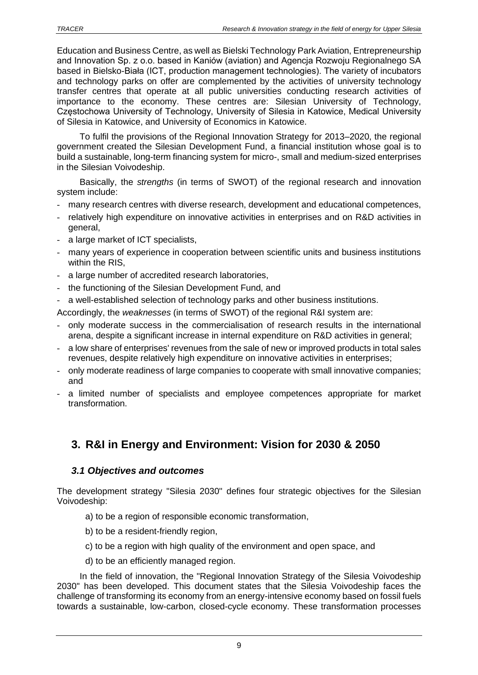Education and Business Centre, as well as Bielski Technology Park Aviation, Entrepreneurship and Innovation Sp. z o.o. based in Kaniów (aviation) and Agencja Rozwoju Regionalnego SA based in Bielsko-Biała (ICT, production management technologies). The variety of incubators and technology parks on offer are complemented by the activities of university technology transfer centres that operate at all public universities conducting research activities of importance to the economy. These centres are: Silesian University of Technology, Częstochowa University of Technology, University of Silesia in Katowice, Medical University of Silesia in Katowice, and University of Economics in Katowice.

To fulfil the provisions of the Regional Innovation Strategy for 2013–2020, the regional government created the Silesian Development Fund, a financial institution whose goal is to build a sustainable, long-term financing system for micro-, small and medium-sized enterprises in the Silesian Voivodeship.

Basically, the *strengths* (in terms of SWOT) of the regional research and innovation system include:

- many research centres with diverse research, development and educational competences,
- relatively high expenditure on innovative activities in enterprises and on R&D activities in general,
- a large market of ICT specialists,
- many years of experience in cooperation between scientific units and business institutions within the RIS,
- a large number of accredited research laboratories,
- the functioning of the Silesian Development Fund, and
- a well-established selection of technology parks and other business institutions.

Accordingly, the *weaknesses* (in terms of SWOT) of the regional R&I system are:

- only moderate success in the commercialisation of research results in the international arena, despite a significant increase in internal expenditure on R&D activities in general;
- a low share of enterprises' revenues from the sale of new or improved products in total sales revenues, despite relatively high expenditure on innovative activities in enterprises;
- only moderate readiness of large companies to cooperate with small innovative companies; and
- a limited number of specialists and employee competences appropriate for market transformation.

# <span id="page-8-0"></span>**3. R&I in Energy and Environment: Vision for 2030 & 2050**

#### <span id="page-8-1"></span>*3.1 Objectives and outcomes*

The development strategy "Silesia 2030" defines four strategic objectives for the Silesian Voivodeship:

- a) to be a region of responsible economic transformation,
- b) to be a resident-friendly region.
- c) to be a region with high quality of the environment and open space, and
- d) to be an efficiently managed region.

In the field of innovation, the "Regional Innovation Strategy of the Silesia Voivodeship 2030" has been developed. This document states that the Silesia Voivodeship faces the challenge of transforming its economy from an energy-intensive economy based on fossil fuels towards a sustainable, low-carbon, closed-cycle economy. These transformation processes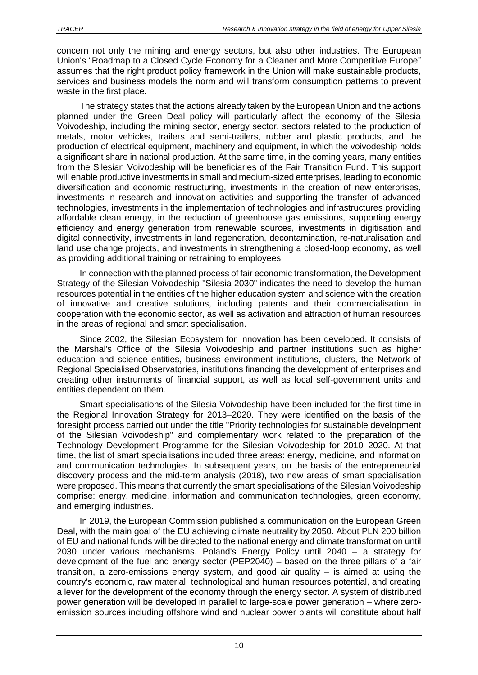concern not only the mining and energy sectors, but also other industries. The European Union's "Roadmap to a Closed Cycle Economy for a Cleaner and More Competitive Europe" assumes that the right product policy framework in the Union will make sustainable products, services and business models the norm and will transform consumption patterns to prevent waste in the first place.

The strategy states that the actions already taken by the European Union and the actions planned under the Green Deal policy will particularly affect the economy of the Silesia Voivodeship, including the mining sector, energy sector, sectors related to the production of metals, motor vehicles, trailers and semi-trailers, rubber and plastic products, and the production of electrical equipment, machinery and equipment, in which the voivodeship holds a significant share in national production. At the same time, in the coming years, many entities from the Silesian Voivodeship will be beneficiaries of the Fair Transition Fund. This support will enable productive investments in small and medium-sized enterprises, leading to economic diversification and economic restructuring, investments in the creation of new enterprises, investments in research and innovation activities and supporting the transfer of advanced technologies, investments in the implementation of technologies and infrastructures providing affordable clean energy, in the reduction of greenhouse gas emissions, supporting energy efficiency and energy generation from renewable sources, investments in digitisation and digital connectivity, investments in land regeneration, decontamination, re-naturalisation and land use change projects, and investments in strengthening a closed-loop economy, as well as providing additional training or retraining to employees.

In connection with the planned process of fair economic transformation, the Development Strategy of the Silesian Voivodeship "Silesia 2030" indicates the need to develop the human resources potential in the entities of the higher education system and science with the creation of innovative and creative solutions, including patents and their commercialisation in cooperation with the economic sector, as well as activation and attraction of human resources in the areas of regional and smart specialisation.

Since 2002, the Silesian Ecosystem for Innovation has been developed. It consists of the Marshal's Office of the Silesia Voivodeship and partner institutions such as higher education and science entities, business environment institutions, clusters, the Network of Regional Specialised Observatories, institutions financing the development of enterprises and creating other instruments of financial support, as well as local self-government units and entities dependent on them.

Smart specialisations of the Silesia Voivodeship have been included for the first time in the Regional Innovation Strategy for 2013–2020. They were identified on the basis of the foresight process carried out under the title "Priority technologies for sustainable development of the Silesian Voivodeship" and complementary work related to the preparation of the Technology Development Programme for the Silesian Voivodeship for 2010–2020. At that time, the list of smart specialisations included three areas: energy, medicine, and information and communication technologies. In subsequent years, on the basis of the entrepreneurial discovery process and the mid-term analysis (2018), two new areas of smart specialisation were proposed. This means that currently the smart specialisations of the Silesian Voivodeship comprise: energy, medicine, information and communication technologies, green economy, and emerging industries.

In 2019, the European Commission published a communication on the European Green Deal, with the main goal of the EU achieving climate neutrality by 2050. About PLN 200 billion of EU and national funds will be directed to the national energy and climate transformation until 2030 under various mechanisms. Poland's Energy Policy until 2040 – a strategy for development of the fuel and energy sector (PEP2040) – based on the three pillars of a fair transition, a zero-emissions energy system, and good air quality – is aimed at using the country's economic, raw material, technological and human resources potential, and creating a lever for the development of the economy through the energy sector. A system of distributed power generation will be developed in parallel to large-scale power generation – where zeroemission sources including offshore wind and nuclear power plants will constitute about half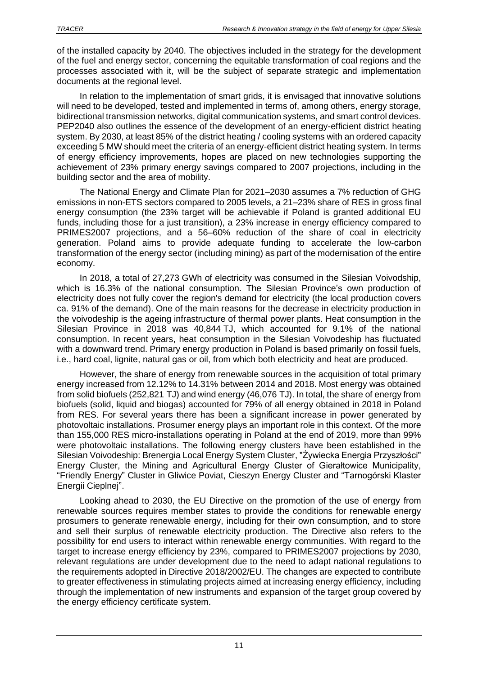of the installed capacity by 2040. The objectives included in the strategy for the development of the fuel and energy sector, concerning the equitable transformation of coal regions and the processes associated with it, will be the subject of separate strategic and implementation documents at the regional level.

In relation to the implementation of smart grids, it is envisaged that innovative solutions will need to be developed, tested and implemented in terms of, among others, energy storage, bidirectional transmission networks, digital communication systems, and smart control devices. PEP2040 also outlines the essence of the development of an energy-efficient district heating system. By 2030, at least 85% of the district heating / cooling systems with an ordered capacity exceeding 5 MW should meet the criteria of an energy-efficient district heating system. In terms of energy efficiency improvements, hopes are placed on new technologies supporting the achievement of 23% primary energy savings compared to 2007 projections, including in the building sector and the area of mobility.

The National Energy and Climate Plan for 2021–2030 assumes a 7% reduction of GHG emissions in non-ETS sectors compared to 2005 levels, a 21–23% share of RES in gross final energy consumption (the 23% target will be achievable if Poland is granted additional EU funds, including those for a just transition), a 23% increase in energy efficiency compared to PRIMES2007 projections, and a 56–60% reduction of the share of coal in electricity generation. Poland aims to provide adequate funding to accelerate the low-carbon transformation of the energy sector (including mining) as part of the modernisation of the entire economy.

In 2018, a total of 27,273 GWh of electricity was consumed in the Silesian Voivodship, which is 16.3% of the national consumption. The Silesian Province's own production of electricity does not fully cover the region's demand for electricity (the local production covers ca. 91% of the demand). One of the main reasons for the decrease in electricity production in the voivodeship is the ageing infrastructure of thermal power plants. Heat consumption in the Silesian Province in 2018 was 40,844 TJ, which accounted for 9.1% of the national consumption. In recent years, heat consumption in the Silesian Voivodeship has fluctuated with a downward trend. Primary energy production in Poland is based primarily on fossil fuels, i.e., hard coal, lignite, natural gas or oil, from which both electricity and heat are produced.

However, the share of energy from renewable sources in the acquisition of total primary energy increased from 12.12% to 14.31% between 2014 and 2018. Most energy was obtained from solid biofuels (252,821 TJ) and wind energy (46,076 TJ). In total, the share of energy from biofuels (solid, liquid and biogas) accounted for 79% of all energy obtained in 2018 in Poland from RES. For several years there has been a significant increase in power generated by photovoltaic installations. Prosumer energy plays an important role in this context. Of the more than 155,000 RES micro-installations operating in Poland at the end of 2019, more than 99% were photovoltaic installations. The following energy clusters have been established in the Silesian Voivodeship: Brenergia Local Energy System Cluster, "Żywiecka Energia Przyszłości" Energy Cluster, the Mining and Agricultural Energy Cluster of Gierałtowice Municipality, "Friendly Energy" Cluster in Gliwice Poviat, Cieszyn Energy Cluster and "Tarnogórski Klaster Energii Cieplnej".

Looking ahead to 2030, the EU Directive on the promotion of the use of energy from renewable sources requires member states to provide the conditions for renewable energy prosumers to generate renewable energy, including for their own consumption, and to store and sell their surplus of renewable electricity production. The Directive also refers to the possibility for end users to interact within renewable energy communities. With regard to the target to increase energy efficiency by 23%, compared to PRIMES2007 projections by 2030, relevant regulations are under development due to the need to adapt national regulations to the requirements adopted in Directive 2018/2002/EU. The changes are expected to contribute to greater effectiveness in stimulating projects aimed at increasing energy efficiency, including through the implementation of new instruments and expansion of the target group covered by the energy efficiency certificate system.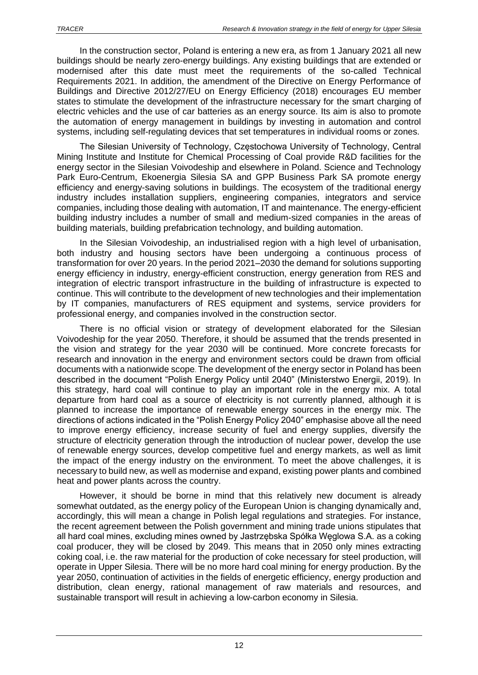In the construction sector, Poland is entering a new era, as from 1 January 2021 all new buildings should be nearly zero-energy buildings. Any existing buildings that are extended or modernised after this date must meet the requirements of the so-called Technical Requirements 2021. In addition, the amendment of the Directive on Energy Performance of Buildings and Directive 2012/27/EU on Energy Efficiency (2018) encourages EU member states to stimulate the development of the infrastructure necessary for the smart charging of electric vehicles and the use of car batteries as an energy source. Its aim is also to promote the automation of energy management in buildings by investing in automation and control systems, including self-regulating devices that set temperatures in individual rooms or zones.

The Silesian University of Technology, Częstochowa University of Technology, Central Mining Institute and Institute for Chemical Processing of Coal provide R&D facilities for the energy sector in the Silesian Voivodeship and elsewhere in Poland. Science and Technology Park Euro-Centrum, Ekoenergia Silesia SA and GPP Business Park SA promote energy efficiency and energy-saving solutions in buildings. The ecosystem of the traditional energy industry includes installation suppliers, engineering companies, integrators and service companies, including those dealing with automation, IT and maintenance. The energy-efficient building industry includes a number of small and medium-sized companies in the areas of building materials, building prefabrication technology, and building automation.

In the Silesian Voivodeship, an industrialised region with a high level of urbanisation, both industry and housing sectors have been undergoing a continuous process of transformation for over 20 years. In the period 2021–2030 the demand for solutions supporting energy efficiency in industry, energy-efficient construction, energy generation from RES and integration of electric transport infrastructure in the building of infrastructure is expected to continue. This will contribute to the development of new technologies and their implementation by IT companies, manufacturers of RES equipment and systems, service providers for professional energy, and companies involved in the construction sector.

There is no official vision or strategy of development elaborated for the Silesian Voivodeship for the year 2050. Therefore, it should be assumed that the trends presented in the vision and strategy for the year 2030 will be continued. More concrete forecasts for research and innovation in the energy and environment sectors could be drawn from official documents with a nationwide scope. The development of the energy sector in Poland has been described in the document "Polish Energy Policy until 2040" (Ministerstwo Energii, 2019). In this strategy, hard coal will continue to play an important role in the energy mix. A total departure from hard coal as a source of electricity is not currently planned, although it is planned to increase the importance of renewable energy sources in the energy mix. The directions of actions indicated in the "Polish Energy Policy 2040" emphasise above all the need to improve energy efficiency, increase security of fuel and energy supplies, diversify the structure of electricity generation through the introduction of nuclear power, develop the use of renewable energy sources, develop competitive fuel and energy markets, as well as limit the impact of the energy industry on the environment. To meet the above challenges, it is necessary to build new, as well as modernise and expand, existing power plants and combined heat and power plants across the country.

However, it should be borne in mind that this relatively new document is already somewhat outdated, as the energy policy of the European Union is changing dynamically and, accordingly, this will mean a change in Polish legal regulations and strategies. For instance, the recent agreement between the Polish government and mining trade unions stipulates that all hard coal mines, excluding mines owned by Jastrzębska Spółka Węglowa S.A. as a coking coal producer, they will be closed by 2049. This means that in 2050 only mines extracting coking coal, i.e. the raw material for the production of coke necessary for steel production, will operate in Upper Silesia. There will be no more hard coal mining for energy production. By the year 2050, continuation of activities in the fields of energetic efficiency, energy production and distribution, clean energy, rational management of raw materials and resources, and sustainable transport will result in achieving a low-carbon economy in Silesia.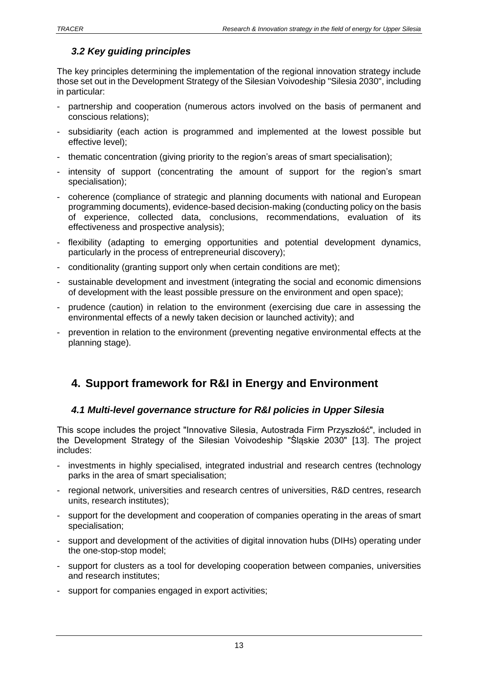### <span id="page-12-0"></span>*3.2 Key guiding principles*

The key principles determining the implementation of the regional innovation strategy include those set out in the Development Strategy of the Silesian Voivodeship "Silesia 2030", including in particular:

- partnership and cooperation (numerous actors involved on the basis of permanent and conscious relations);
- subsidiarity (each action is programmed and implemented at the lowest possible but effective level);
- thematic concentration (giving priority to the region's areas of smart specialisation);
- intensity of support (concentrating the amount of support for the region's smart specialisation);
- coherence (compliance of strategic and planning documents with national and European programming documents), evidence-based decision-making (conducting policy on the basis of experience, collected data, conclusions, recommendations, evaluation of its effectiveness and prospective analysis);
- flexibility (adapting to emerging opportunities and potential development dynamics, particularly in the process of entrepreneurial discovery);
- conditionality (granting support only when certain conditions are met);
- sustainable development and investment (integrating the social and economic dimensions of development with the least possible pressure on the environment and open space);
- prudence (caution) in relation to the environment (exercising due care in assessing the environmental effects of a newly taken decision or launched activity); and
- prevention in relation to the environment (preventing negative environmental effects at the planning stage).

# <span id="page-12-1"></span>**4. Support framework for R&I in Energy and Environment**

#### <span id="page-12-2"></span>*4.1 Multi-level governance structure for R&I policies in Upper Silesia*

This scope includes the project "Innovative Silesia, Autostrada Firm Przyszłość", included in the Development Strategy of the Silesian Voivodeship "Śląskie 2030" [13]. The project includes:

- investments in highly specialised, integrated industrial and research centres (technology parks in the area of smart specialisation;
- regional network, universities and research centres of universities, R&D centres, research units, research institutes);
- support for the development and cooperation of companies operating in the areas of smart specialisation;
- support and development of the activities of digital innovation hubs (DIHs) operating under the one-stop-stop model;
- support for clusters as a tool for developing cooperation between companies, universities and research institutes;
- support for companies engaged in export activities;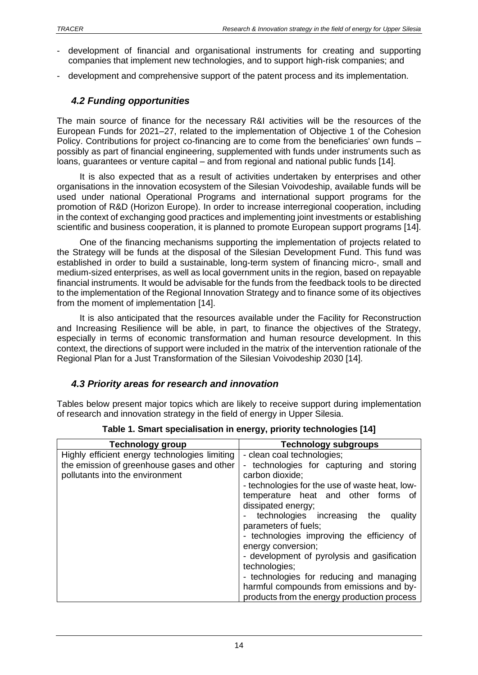- development of financial and organisational instruments for creating and supporting companies that implement new technologies, and to support high-risk companies; and
- <span id="page-13-0"></span>development and comprehensive support of the patent process and its implementation.

#### *4.2 Funding opportunities*

The main source of finance for the necessary R&I activities will be the resources of the European Funds for 2021–27, related to the implementation of Objective 1 of the Cohesion Policy. Contributions for project co-financing are to come from the beneficiaries' own funds – possibly as part of financial engineering, supplemented with funds under instruments such as loans, guarantees or venture capital – and from regional and national public funds [14].

It is also expected that as a result of activities undertaken by enterprises and other organisations in the innovation ecosystem of the Silesian Voivodeship, available funds will be used under national Operational Programs and international support programs for the promotion of R&D (Horizon Europe). In order to increase interregional cooperation, including in the context of exchanging good practices and implementing joint investments or establishing scientific and business cooperation, it is planned to promote European support programs [14].

One of the financing mechanisms supporting the implementation of projects related to the Strategy will be funds at the disposal of the Silesian Development Fund. This fund was established in order to build a sustainable, long-term system of financing micro-, small and medium-sized enterprises, as well as local government units in the region, based on repayable financial instruments. It would be advisable for the funds from the feedback tools to be directed to the implementation of the Regional Innovation Strategy and to finance some of its objectives from the moment of implementation [14].

It is also anticipated that the resources available under the Facility for Reconstruction and Increasing Resilience will be able, in part, to finance the objectives of the Strategy, especially in terms of economic transformation and human resource development. In this context, the directions of support were included in the matrix of the intervention rationale of the Regional Plan for a Just Transformation of the Silesian Voivodeship 2030 [14].

#### <span id="page-13-1"></span>*4.3 Priority areas for research and innovation*

Tables below present major topics which are likely to receive support during implementation of research and innovation strategy in the field of energy in Upper Silesia.

| <b>Technology subgroups</b>                    |
|------------------------------------------------|
| - clean coal technologies;                     |
| technologies for capturing and storing<br>-    |
| carbon dioxide;                                |
| - technologies for the use of waste heat, low- |
| temperature heat and other forms of            |
| dissipated energy;                             |
| technologies increasing the<br>quality         |
| parameters of fuels;                           |
| - technologies improving the efficiency of     |
| energy conversion;                             |
| - development of pyrolysis and gasification    |
| technologies;                                  |
| - technologies for reducing and managing       |
| harmful compounds from emissions and by-       |
| products from the energy production process    |
|                                                |

**Table 1. Smart specialisation in energy, priority technologies [14]**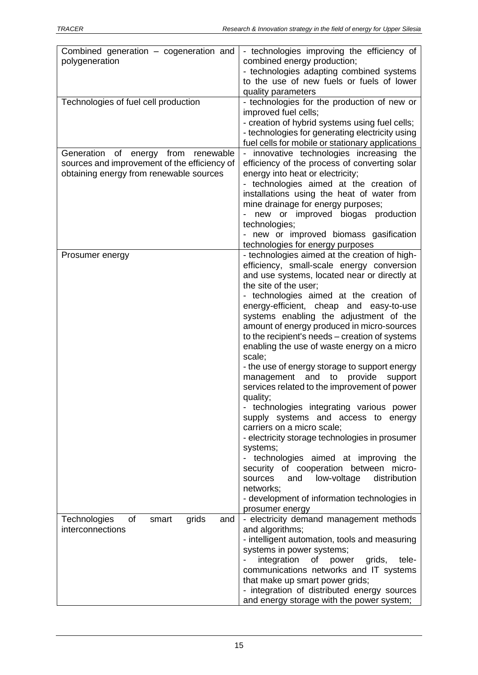| Combined generation - cogeneration and       | - technologies improving the efficiency of                                  |
|----------------------------------------------|-----------------------------------------------------------------------------|
| polygeneration                               | combined energy production;                                                 |
|                                              | - technologies adapting combined systems                                    |
|                                              | to the use of new fuels or fuels of lower                                   |
|                                              | quality parameters                                                          |
| Technologies of fuel cell production         | - technologies for the production of new or                                 |
|                                              | improved fuel cells;                                                        |
|                                              | - creation of hybrid systems using fuel cells;                              |
|                                              | - technologies for generating electricity using                             |
|                                              | fuel cells for mobile or stationary applications                            |
| Generation of energy from<br>renewable       | - innovative technologies increasing the                                    |
| sources and improvement of the efficiency of | efficiency of the process of converting solar                               |
| obtaining energy from renewable sources      | energy into heat or electricity;<br>- technologies aimed at the creation of |
|                                              | installations using the heat of water from                                  |
|                                              | mine drainage for energy purposes;                                          |
|                                              | new or improved biogas production                                           |
|                                              | technologies;                                                               |
|                                              | - new or improved biomass gasification                                      |
|                                              | technologies for energy purposes                                            |
| Prosumer energy                              | - technologies aimed at the creation of high-                               |
|                                              | efficiency, small-scale energy conversion                                   |
|                                              | and use systems, located near or directly at                                |
|                                              | the site of the user;                                                       |
|                                              | - technologies aimed at the creation of                                     |
|                                              | energy-efficient, cheap and easy-to-use                                     |
|                                              | systems enabling the adjustment of the                                      |
|                                              | amount of energy produced in micro-sources                                  |
|                                              | to the recipient's needs – creation of systems                              |
|                                              | enabling the use of waste energy on a micro<br>scale;                       |
|                                              | - the use of energy storage to support energy                               |
|                                              | and<br>to provide<br>support<br>management                                  |
|                                              | services related to the improvement of power                                |
|                                              | quality;                                                                    |
|                                              | - technologies integrating various power                                    |
|                                              | supply systems and access to energy                                         |
|                                              | carriers on a micro scale;                                                  |
|                                              | - electricity storage technologies in prosumer                              |
|                                              | systems;                                                                    |
|                                              | - technologies aimed at improving the                                       |
|                                              | security of cooperation between micro-                                      |
|                                              | and<br>low-voltage<br>sources<br>distribution                               |
|                                              | networks;<br>- development of information technologies in                   |
|                                              | prosumer energy                                                             |
| grids<br>of<br>Technologies<br>smart<br>and  | - electricity demand management methods                                     |
| interconnections                             | and algorithms;                                                             |
|                                              | - intelligent automation, tools and measuring                               |
|                                              | systems in power systems;                                                   |
|                                              | integration<br>of power<br>grids,<br>tele-                                  |
|                                              | communications networks and IT systems                                      |
|                                              | that make up smart power grids;                                             |
|                                              | - integration of distributed energy sources                                 |
|                                              | and energy storage with the power system;                                   |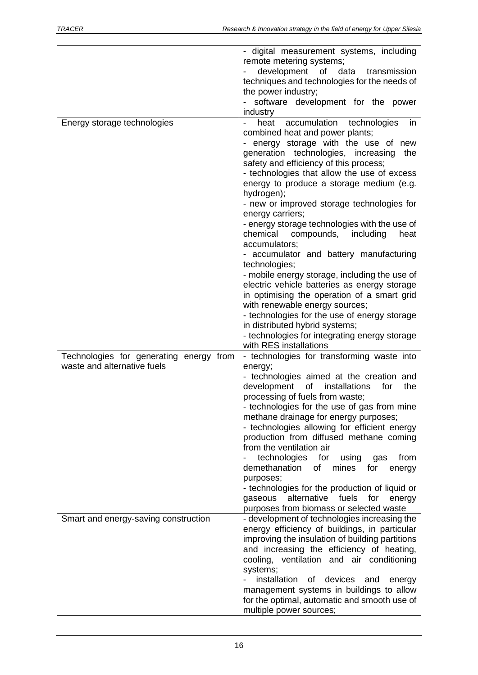|                                         | - digital measurement systems, including                                                 |
|-----------------------------------------|------------------------------------------------------------------------------------------|
|                                         | remote metering systems;                                                                 |
|                                         | development of<br>data<br>transmission                                                   |
|                                         | techniques and technologies for the needs of                                             |
|                                         | the power industry;                                                                      |
|                                         | software development for the power                                                       |
|                                         | industry                                                                                 |
| Energy storage technologies             | accumulation technologies<br>in<br>heat                                                  |
|                                         | combined heat and power plants;                                                          |
|                                         | energy storage with the use of new                                                       |
|                                         | generation technologies, increasing<br>the                                               |
|                                         | safety and efficiency of this process;                                                   |
|                                         | - technologies that allow the use of excess                                              |
|                                         | energy to produce a storage medium (e.g.                                                 |
|                                         | hydrogen);                                                                               |
|                                         | - new or improved storage technologies for<br>energy carriers;                           |
|                                         | - energy storage technologies with the use of                                            |
|                                         | chemical<br>compounds,<br>including<br>heat                                              |
|                                         | accumulators;                                                                            |
|                                         | - accumulator and battery manufacturing                                                  |
|                                         | technologies;                                                                            |
|                                         | - mobile energy storage, including the use of                                            |
|                                         | electric vehicle batteries as energy storage                                             |
|                                         | in optimising the operation of a smart grid<br>with renewable energy sources;            |
|                                         | - technologies for the use of energy storage                                             |
|                                         | in distributed hybrid systems;                                                           |
|                                         | - technologies for integrating energy storage                                            |
|                                         | with RES installations                                                                   |
| Technologies for generating energy from | - technologies for transforming waste into                                               |
| waste and alternative fuels             | energy;                                                                                  |
|                                         | - technologies aimed at the creation and                                                 |
|                                         | development<br>of<br>installations<br>the<br>for                                         |
|                                         | processing of fuels from waste;                                                          |
|                                         | - technologies for the use of gas from mine                                              |
|                                         | methane drainage for energy purposes;<br>- technologies allowing for efficient energy    |
|                                         | production from diffused methane coming                                                  |
|                                         | from the ventilation air                                                                 |
|                                         | technologies<br>for<br>from<br>using<br>gas                                              |
|                                         | demethanation<br>mines<br>of<br>for<br>energy                                            |
|                                         | purposes;                                                                                |
|                                         | - technologies for the production of liquid or                                           |
|                                         | alternative fuels for<br>gaseous<br>energy                                               |
|                                         | purposes from biomass or selected waste                                                  |
| Smart and energy-saving construction    | - development of technologies increasing the                                             |
|                                         | energy efficiency of buildings, in particular                                            |
|                                         | improving the insulation of building partitions                                          |
|                                         | and increasing the efficiency of heating,                                                |
|                                         | cooling, ventilation and air conditioning                                                |
|                                         | systems;                                                                                 |
|                                         | installation of devices and<br>energy                                                    |
|                                         | management systems in buildings to allow<br>for the optimal, automatic and smooth use of |
|                                         | multiple power sources;                                                                  |
|                                         |                                                                                          |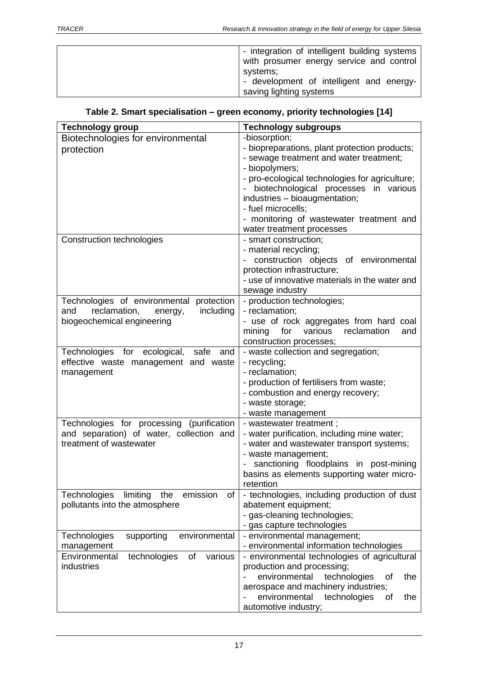| - integration of intelligent building systems |
|-----------------------------------------------|
| with prosumer energy service and control      |
| systems;                                      |
| - development of intelligent and energy-      |
| saving lighting systems                       |

### **Table 2. Smart specialisation – green economy, priority technologies [14]**

| <b>Technology group</b>                           | <b>Technology subgroups</b>                                                       |  |
|---------------------------------------------------|-----------------------------------------------------------------------------------|--|
| Biotechnologies for environmental                 | -biosorption;                                                                     |  |
| protection                                        | - biopreparations, plant protection products;                                     |  |
|                                                   | - sewage treatment and water treatment;                                           |  |
|                                                   | - biopolymers;                                                                    |  |
|                                                   | - pro-ecological technologies for agriculture;                                    |  |
|                                                   | biotechnological processes in various                                             |  |
|                                                   | industries - bioaugmentation;                                                     |  |
|                                                   | - fuel microcells;                                                                |  |
|                                                   | - monitoring of wastewater treatment and                                          |  |
|                                                   | water treatment processes                                                         |  |
| <b>Construction technologies</b>                  | - smart construction;                                                             |  |
|                                                   | - material recycling;                                                             |  |
|                                                   | construction objects of environmental                                             |  |
|                                                   | protection infrastructure;                                                        |  |
|                                                   | - use of innovative materials in the water and                                    |  |
|                                                   | sewage industry                                                                   |  |
| Technologies of environmental<br>protection       | - production technologies;                                                        |  |
| including<br>reclamation,<br>and<br>energy,       | - reclamation;                                                                    |  |
| biogeochemical engineering                        | - use of rock aggregates from hard coal<br>various<br>reclamation<br>for          |  |
|                                                   | mining<br>and                                                                     |  |
| Technologies for ecological,<br>safe<br>and       | construction processes;<br>- waste collection and segregation;                    |  |
| effective waste management and waste              | - recycling;                                                                      |  |
| management                                        | - reclamation;                                                                    |  |
|                                                   | - production of fertilisers from waste;                                           |  |
|                                                   | - combustion and energy recovery;                                                 |  |
|                                                   | - waste storage;                                                                  |  |
|                                                   | - waste management                                                                |  |
| Technologies for processing (purification         | - wastewater treatment;                                                           |  |
| and separation) of water, collection and          | - water purification, including mine water;                                       |  |
| treatment of wastewater                           | - water and wastewater transport systems;                                         |  |
|                                                   | - waste management;                                                               |  |
|                                                   | sanctioning floodplains in post-mining                                            |  |
|                                                   | basins as elements supporting water micro-                                        |  |
|                                                   | retention                                                                         |  |
| Technologies<br>limiting<br>emission<br>of<br>the | - technologies, including production of dust                                      |  |
| pollutants into the atmosphere                    | abatement equipment;                                                              |  |
|                                                   | - gas-cleaning technologies;                                                      |  |
|                                                   | - gas capture technologies                                                        |  |
| supporting<br>environmental<br>Technologies       | - environmental management;                                                       |  |
| management                                        | - environmental information technologies                                          |  |
| Environmental<br>technologies<br>of<br>various    | - environmental technologies of agricultural                                      |  |
| industries                                        | production and processing;                                                        |  |
|                                                   | environmental<br>technologies<br>of<br>the<br>aerospace and machinery industries; |  |
|                                                   | environmental<br>technologies<br>the<br>of                                        |  |
|                                                   |                                                                                   |  |
|                                                   | automotive industry;                                                              |  |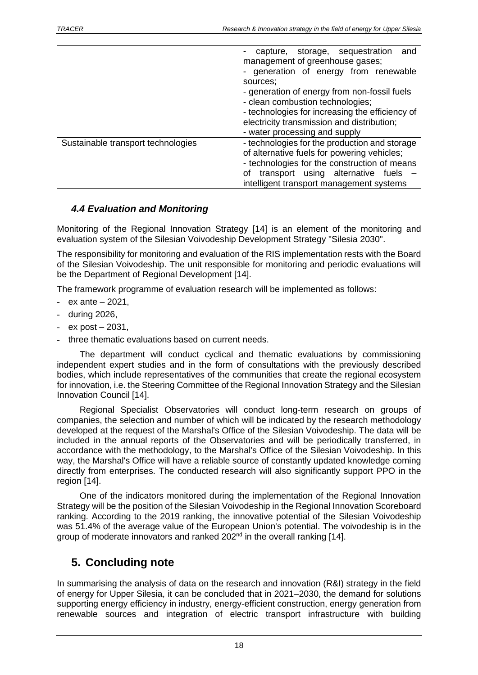|                                    | capture, storage, sequestration<br>and<br>management of greenhouse gases;<br>generation of energy from renewable<br>sources:<br>- generation of energy from non-fossil fuels<br>- clean combustion technologies;<br>- technologies for increasing the efficiency of<br>electricity transmission and distribution;<br>- water processing and supply |
|------------------------------------|----------------------------------------------------------------------------------------------------------------------------------------------------------------------------------------------------------------------------------------------------------------------------------------------------------------------------------------------------|
| Sustainable transport technologies | - technologies for the production and storage<br>of alternative fuels for powering vehicles;<br>- technologies for the construction of means<br>transport using alternative fuels<br>οf<br>intelligent transport management systems                                                                                                                |

#### <span id="page-17-0"></span>*4.4 Evaluation and Monitoring*

Monitoring of the Regional Innovation Strategy [14] is an element of the monitoring and evaluation system of the Silesian Voivodeship Development Strategy "Silesia 2030".

The responsibility for monitoring and evaluation of the RIS implementation rests with the Board of the Silesian Voivodeship. The unit responsible for monitoring and periodic evaluations will be the Department of Regional Development [14].

The framework programme of evaluation research will be implemented as follows:

- $-$  ex ante  $-2021$ .
- during 2026,
- $-$  ex post  $-2031$ .
- three thematic evaluations based on current needs.

The department will conduct cyclical and thematic evaluations by commissioning independent expert studies and in the form of consultations with the previously described bodies, which include representatives of the communities that create the regional ecosystem for innovation, i.e. the Steering Committee of the Regional Innovation Strategy and the Silesian Innovation Council [14].

Regional Specialist Observatories will conduct long-term research on groups of companies, the selection and number of which will be indicated by the research methodology developed at the request of the Marshal's Office of the Silesian Voivodeship. The data will be included in the annual reports of the Observatories and will be periodically transferred, in accordance with the methodology, to the Marshal's Office of the Silesian Voivodeship. In this way, the Marshal's Office will have a reliable source of constantly updated knowledge coming directly from enterprises. The conducted research will also significantly support PPO in the region [14].

One of the indicators monitored during the implementation of the Regional Innovation Strategy will be the position of the Silesian Voivodeship in the Regional Innovation Scoreboard ranking. According to the 2019 ranking, the innovative potential of the Silesian Voivodeship was 51.4% of the average value of the European Union's potential. The voivodeship is in the group of moderate innovators and ranked 202<sup>nd</sup> in the overall ranking [14].

# <span id="page-17-1"></span>**5. Concluding note**

In summarising the analysis of data on the research and innovation (R&I) strategy in the field of energy for Upper Silesia, it can be concluded that in 2021–2030, the demand for solutions supporting energy efficiency in industry, energy-efficient construction, energy generation from renewable sources and integration of electric transport infrastructure with building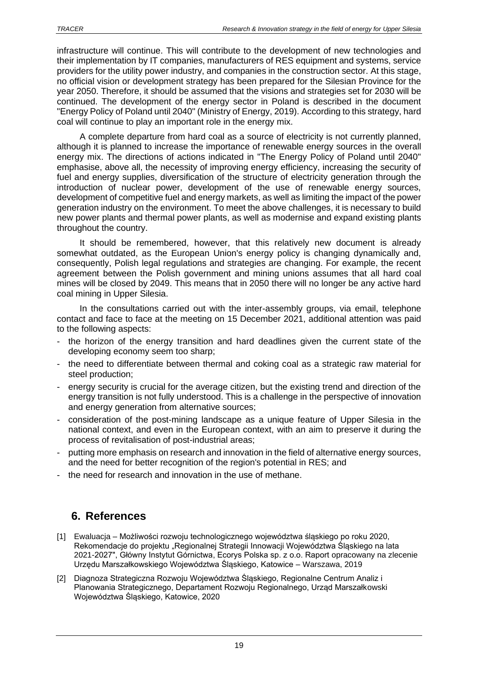infrastructure will continue. This will contribute to the development of new technologies and their implementation by IT companies, manufacturers of RES equipment and systems, service providers for the utility power industry, and companies in the construction sector. At this stage, no official vision or development strategy has been prepared for the Silesian Province for the year 2050. Therefore, it should be assumed that the visions and strategies set for 2030 will be continued. The development of the energy sector in Poland is described in the document "Energy Policy of Poland until 2040" (Ministry of Energy, 2019). According to this strategy, hard coal will continue to play an important role in the energy mix.

A complete departure from hard coal as a source of electricity is not currently planned, although it is planned to increase the importance of renewable energy sources in the overall energy mix. The directions of actions indicated in "The Energy Policy of Poland until 2040" emphasise, above all, the necessity of improving energy efficiency, increasing the security of fuel and energy supplies, diversification of the structure of electricity generation through the introduction of nuclear power, development of the use of renewable energy sources, development of competitive fuel and energy markets, as well as limiting the impact of the power generation industry on the environment. To meet the above challenges, it is necessary to build new power plants and thermal power plants, as well as modernise and expand existing plants throughout the country.

It should be remembered, however, that this relatively new document is already somewhat outdated, as the European Union's energy policy is changing dynamically and, consequently, Polish legal regulations and strategies are changing. For example, the recent agreement between the Polish government and mining unions assumes that all hard coal mines will be closed by 2049. This means that in 2050 there will no longer be any active hard coal mining in Upper Silesia.

In the consultations carried out with the inter-assembly groups, via email, telephone contact and face to face at the meeting on 15 December 2021, additional attention was paid to the following aspects:

- the horizon of the energy transition and hard deadlines given the current state of the developing economy seem too sharp;
- the need to differentiate between thermal and coking coal as a strategic raw material for steel production;
- energy security is crucial for the average citizen, but the existing trend and direction of the energy transition is not fully understood. This is a challenge in the perspective of innovation and energy generation from alternative sources;
- consideration of the post-mining landscape as a unique feature of Upper Silesia in the national context, and even in the European context, with an aim to preserve it during the process of revitalisation of post-industrial areas;
- putting more emphasis on research and innovation in the field of alternative energy sources, and the need for better recognition of the region's potential in RES; and
- the need for research and innovation in the use of methane.

# <span id="page-18-0"></span>**6. References**

- [1] Ewaluacja Możliwości rozwoju technologicznego województwa śląskiego po roku 2020, Rekomendacje do projektu "Regionalnej Strategii Innowacji Województwa Śląskiego na lata 2021-2027", Główny Instytut Górnictwa, Ecorys Polska sp. z o.o. Raport opracowany na zlecenie Urzędu Marszałkowskiego Województwa Śląskiego, Katowice – Warszawa, 2019
- [2] Diagnoza Strategiczna Rozwoju Województwa Śląskiego, Regionalne Centrum Analiz i Planowania Strategicznego, Departament Rozwoju Regionalnego, Urząd Marszałkowski Województwa Śląskiego, Katowice, 2020